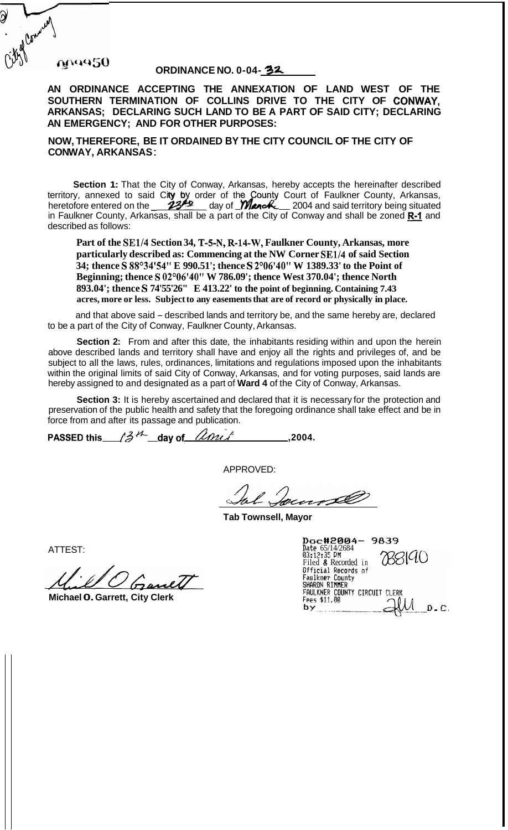## maa50

## **ORDINANCE NO. 0-04-32**

**AN ORDINANCE ACCEPTING THE ANNEXATION OF LAND WEST OF THE SOUTHERN TERMINATION OF COLLINS DRIVE TO THE CITY OF CONWAY, ARKANSAS; DECLARING SUCH LAND TO BE A PART OF SAID CITY; DECLARING AN EMERGENCY; AND FOR OTHER PURPOSES:** 

**NOW, THEREFORE, BE IT ORDAINED BY THE CITY COUNCIL OF THE CITY OF CON WAY, ARKANSAS** :

**Section 1:** That the City of Conway, Arkansas, hereby accepts the hereinafter described territory, annexed to said City by order of the County Court of Faulkner County, Arkansas, Section 1: That the City of Conway, Arkansas, hereby accepts the hereinafter described<br>territory, annexed to said City by order of the County Court of Faulkner County, Arkansas,<br>heretofore entered on the 23<sup>26</sup> day of *Man* described as follows:

**Part of the SE1/4 Section 34, T-5-N, R-14-W, Faulkner County, Arkansas, more particularly described as: Commencing at the NW Corner SE1/4 of said Section**  34; thence S 88°34'54" E 990.51'; thence S 2°06'40" W 1389.33' to the Point of **Beginning; thence S 02'06'40" W 786.09'; thence West 370.04'; thence North 893.04'; thence S 74'55'26" E 413.22' to the point of beginning. Containing 7.43 acres, more or less. Subject to any easements that are of record or physically in place.** 

and that above said – described lands and territory be, and the same hereby are, declared to be a part of the City of Conway, Faulkner County, Arkansas.

**Section 2:** From and after this date, the inhabitants residing within and upon the herein above described lands and territory shall have and enjoy all the rights and privileges of, and be subject to all the laws, rules, ordinances, limitations and regulations imposed upon the inhabitants within the original limits of said City of Conway, Arkansas, and for voting purposes, said lands are hereby assigned to and designated as a part of **Ward 4** of the City of Conway, Arkansas.

**Section 3:** It is hereby ascertained and declared that it is necessary for the protection and preservation of the public health and safety that the foregoing ordinance shall take effect and be in force from and after its passage and publication.

**PASSED this**  $\cancel{3}^{14}$  day of  $\cancel{2}^{10}$ , 2004.

APPROVED:

Jacobse

**Tab Townsell, Mayor** 

ATTEST:

**Michael 0. Garrett, City Clerk** 

| Doc#2004-<br>-9839                             |
|------------------------------------------------|
| Date 65/14/2684<br>03:12:35 PM<br>KS140        |
| Filed & Recorded in                            |
| Official Records of<br>Faulkner County         |
| SHARON RIMMER<br>FAULKNER COUNTY CIRCUIT CLERK |
| Fees \$11.AR                                   |
| D . C.                                         |